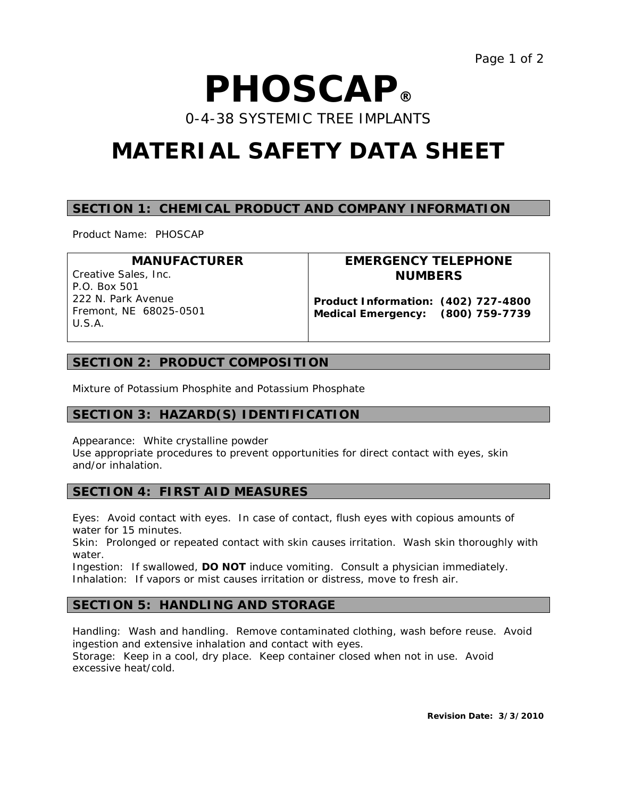# *P***HOSC***A***P®**

0-4-38 SYSTEMIC TREE IMPLANTS

# **MATERIAL SAFETY DATA SHEET**

# **SECTION 1: CHEMICAL PRODUCT AND COMPANY INFORMATION**

Product Name: PHOSCAP

| <b>MANUFACTURER</b>                                    | EMERGENCY TELEPHONE                                                      |
|--------------------------------------------------------|--------------------------------------------------------------------------|
| Creative Sales, Inc.<br>P.O. Box 501                   | <b>NUMBERS</b>                                                           |
| 222 N. Park Avenue<br>Fremont, NE 68025-0501<br>U.S.A. | Product Information: (402) 727-4800<br>Medical Emergency: (800) 759-7739 |

# **SECTION 2: PRODUCT COMPOSITION**

Mixture of Potassium Phosphite and Potassium Phosphate

# **SECTION 3: HAZARD(S) IDENTIFICATION**

Appearance: White crystalline powder Use appropriate procedures to prevent opportunities for direct contact with eyes, skin and/or inhalation.

# **SECTION 4: FIRST AID MEASURES**

Eyes: Avoid contact with eyes. In case of contact, flush eyes with copious amounts of water for 15 minutes.

Skin: Prolonged or repeated contact with skin causes irritation. Wash skin thoroughly with water.

Ingestion: If swallowed, **DO NOT** induce vomiting. Consult a physician immediately. Inhalation: If vapors or mist causes irritation or distress, move to fresh air.

# **SECTION 5: HANDLING AND STORAGE**

Handling: Wash and handling. Remove contaminated clothing, wash before reuse. Avoid ingestion and extensive inhalation and contact with eyes. Storage: Keep in a cool, dry place. Keep container closed when not in use. Avoid excessive heat/cold.